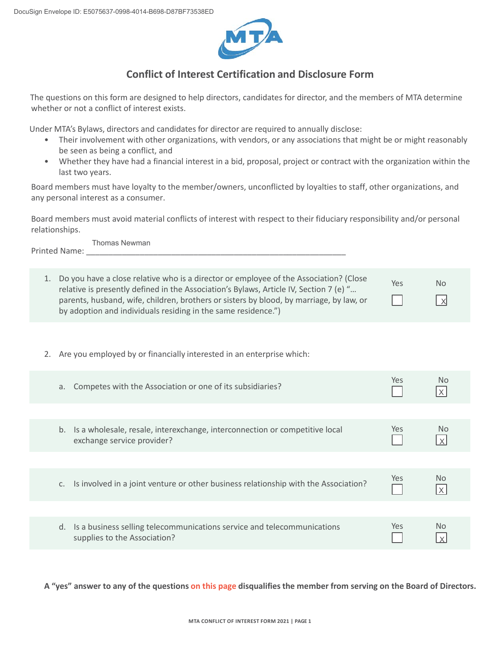

## **Conflict of Interest Certification and Disclosure Form**

The questions on this form are designed to help directors, candidates for director, and the members of MTA determine whether or not a conflict of interest exists.

Under MTA's Bylaws, directors and candidates for director are required to annually disclose:

- Their involvement with other organizations, with vendors, or any associations that might be or might reasonably be seen as being a conflict, and
- Whether they have had a financial interest in a bid, proposal, project or contract with the organization within the last two years.

Board members must have loyalty to the member/owners, unconflicted by loyalties to staff, other organizations, and any personal interest as a consumer.

Board members must avoid material conflicts of interest with respect to their fiduciary responsibility and/or personal relationships.

Printed Name: Thomas Newman

| Do you have a close relative who is a director or employee of the Association? (Close<br>relative is presently defined in the Association's Bylaws, Article IV, Section 7 (e) "<br>parents, husband, wife, children, brothers or sisters by blood, by marriage, by law, or<br>by adoption and individuals residing in the same residence.") | Yes | <b>No</b><br>$\mathsf{I} \times$ |
|---------------------------------------------------------------------------------------------------------------------------------------------------------------------------------------------------------------------------------------------------------------------------------------------------------------------------------------------|-----|----------------------------------|

2. Are you employed by or financially interested in an enterprise which:

| Competes with the Association or one of its subsidiaries?<br>а.                                                 | Yes.       | No.            |
|-----------------------------------------------------------------------------------------------------------------|------------|----------------|
|                                                                                                                 |            |                |
| Is a wholesale, resale, interexchange, interconnection or competitive local<br>b.<br>exchange service provider? | Yes        | No.            |
|                                                                                                                 |            |                |
| Is involved in a joint venture or other business relationship with the Association?<br>C.                       | Yes        | N <sub>o</sub> |
|                                                                                                                 |            |                |
| Is a business selling telecommunications service and telecommunications<br>d.<br>supplies to the Association?   | <b>Yes</b> | No             |

**A "yes" answer to any of the questions on this page disqualifies the member from serving on the Board of Directors.**